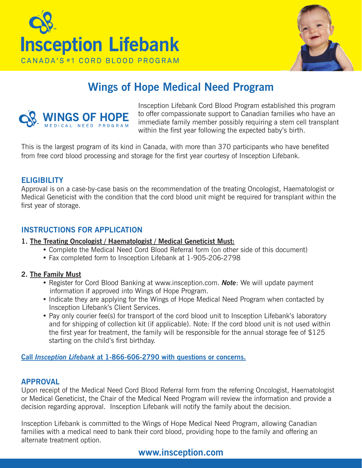



# **Wings of Hope Medical Need Program**



Insception Lifebank Cord Blood Program established this program to offer compassionate support to Canadian families who have an immediate family member possibly requiring a stem cell transplant within the first year following the expected baby's birth.

This is the largest program of its kind in Canada, with more than 370 participants who have benefited from free cord blood processing and storage for the first year courtesy of Insception Lifebank.

## **Eligibility**

Approval is on a case-by-case basis on the recommendation of the treating Oncologist, Haematologist or Medical Geneticist with the condition that the cord blood unit might be required for transplant within the first year of storage.

# **Instructions for Application**

#### **1. The Treating Oncologist / Haematologist / Medical Geneticist Must:**

- Complete the Medical Need Cord Blood Referral form (on other side of this document)
- Fax completed form to Insception Lifebank at 1-905-206-2798

#### **2. The Family Must**

- Register for Cord Blood Banking at www.insception.com. *Note*: We will update payment information if approved into Wings of Hope Program.
- Indicate they are applying for the Wings of Hope Medical Need Program when contacted by Insception Lifebank's Client Services.
- Pay only courier fee(s) for transport of the cord blood unit to Insception Lifebank's laboratory and for shipping of collection kit (if applicable). Note: If the cord blood unit is not used within the first year for treatment, the family will be responsible for the annual storage fee of \$125 starting on the child's first birthday.

**Call** *Insception Lifebank* **at 1-866-606-2790 with questions or concerns.**

## **Approval**

Upon receipt of the Medical Need Cord Blood Referral form from the referring Oncologist, Haematologist or Medical Geneticist, the Chair of the Medical Need Program will review the information and provide a decision regarding approval. Insception Lifebank will notify the family about the decision.

Insception Lifebank is committed to the Wings of Hope Medical Need Program, allowing Canadian families with a medical need to bank their cord blood, providing hope to the family and offering an alternate treatment option.

# **www.insception.com**